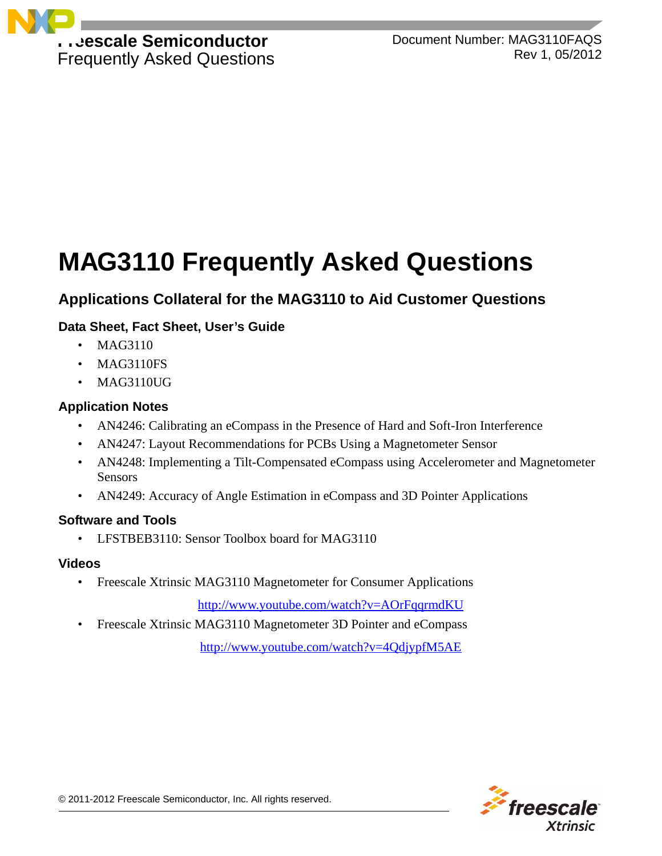

Document Number: MAG3110FAQS Rev 1, 05/2012

# **MAG3110 Frequently Asked Questions**

# **Applications Collateral for the MAG3110 to Aid Customer Questions**

# **Data Sheet, Fact Sheet, User's Guide**

- MAG3110
- MAG3110FS
- MAG3110UG

#### **Application Notes**

- AN4246: Calibrating an eCompass in the Presence of Hard and Soft-Iron Interference
- AN4247: Layout Recommendations for PCBs Using a Magnetometer Sensor
- AN4248: Implementing a Tilt-Compensated eCompass using Accelerometer and Magnetometer Sensors
- AN4249: Accuracy of Angle Estimation in eCompass and 3D Pointer Applications

#### **Software and Tools**

• LFSTBEB3110: Sensor Toolbox board for MAG3110

#### **Videos**

• Freescale Xtrinsic MAG3110 Magnetometer for Consumer Applications

<http://www.youtube.com/watch?v=AOrFqqrmdKU>

• Freescale Xtrinsic MAG3110 Magnetometer 3D Pointer and eCompass

<http://www.youtube.com/watch?v=4QdjypfM5AE>

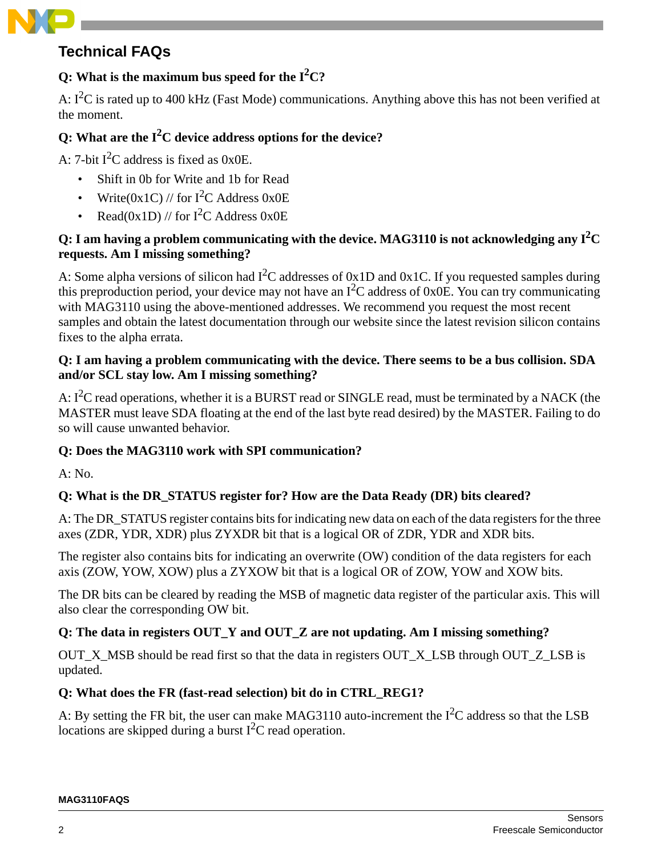# **Technical FAQs**

# Q: What is the maximum bus speed for the  $I^2C$ ?

A:  $I^2C$  is rated up to 400 kHz (Fast Mode) communications. Anything above this has not been verified at the moment.

# **Q: What are the I2 C device address options for the device?**

A: 7-bit  $I^2C$  address is fixed as  $0x0E$ .

- Shift in 0b for Write and 1b for Read
- Write( $0x1C$ ) // for I<sup>2</sup>C Address  $0x0E$
- Read(0x1D) // for  $I^2C$  Address 0x0E

# Q: I am having a problem communicating with the device. MAG3110 is not acknowledging any  $\mathbf{I}^2\mathbf{C}$ **requests. Am I missing something?**

A: Some alpha versions of silicon had  $I^2C$  addresses of 0x1D and 0x1C. If you requested samples during this preproduction period, your device may not have an  $I^2C$  address of 0x0E. You can try communicating with MAG3110 using the above-mentioned addresses. We recommend you request the most recent samples and obtain the latest documentation through our website since the latest revision silicon contains fixes to the alpha errata.

## **Q: I am having a problem communicating with the device. There seems to be a bus collision. SDA and/or SCL stay low. Am I missing something?**

A:  $I<sup>2</sup>C$  read operations, whether it is a BURST read or SINGLE read, must be terminated by a NACK (the MASTER must leave SDA floating at the end of the last byte read desired) by the MASTER. Failing to do so will cause unwanted behavior.

# **Q: Does the MAG3110 work with SPI communication?**

A: No.

# **Q: What is the DR\_STATUS register for? How are the Data Ready (DR) bits cleared?**

A: The DR STATUS register contains bits for indicating new data on each of the data registers for the three axes (ZDR, YDR, XDR) plus ZYXDR bit that is a logical OR of ZDR, YDR and XDR bits.

The register also contains bits for indicating an overwrite (OW) condition of the data registers for each axis (ZOW, YOW, XOW) plus a ZYXOW bit that is a logical OR of ZOW, YOW and XOW bits.

The DR bits can be cleared by reading the MSB of magnetic data register of the particular axis. This will also clear the corresponding OW bit.

# **Q: The data in registers OUT\_Y and OUT\_Z are not updating. Am I missing something?**

OUT X MSB should be read first so that the data in registers OUT X LSB through OUT Z LSB is updated.

# **Q: What does the FR (fast-read selection) bit do in CTRL\_REG1?**

A: By setting the FR bit, the user can make MAG3110 auto-increment the  $I<sup>2</sup>C$  address so that the LSB locations are skipped during a burst  $I<sup>2</sup>C$  read operation.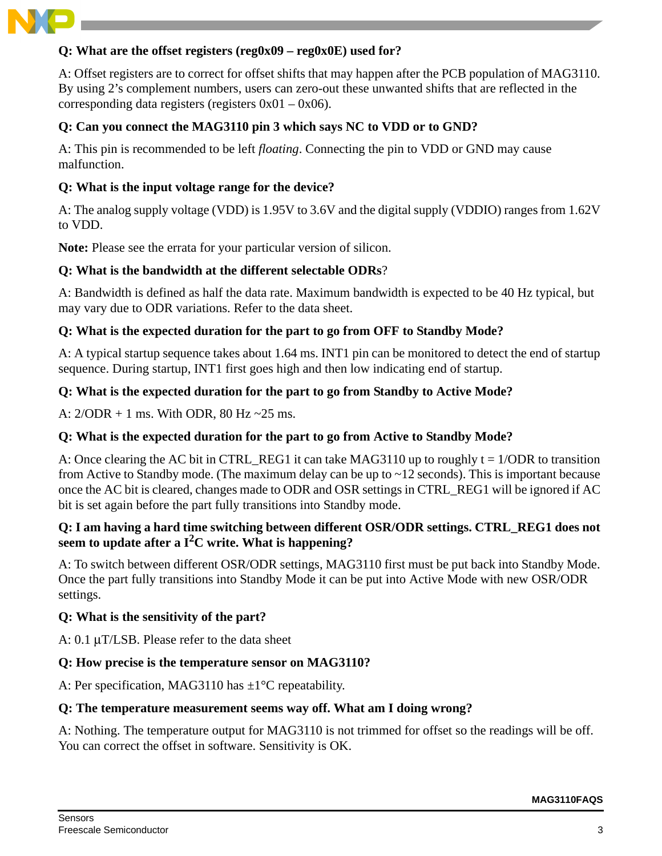

#### **Q: What are the offset registers (reg0x09 – reg0x0E) used for?**

A: Offset registers are to correct for offset shifts that may happen after the PCB population of MAG3110. By using 2's complement numbers, users can zero-out these unwanted shifts that are reflected in the corresponding data registers (registers  $0x01 - 0x06$ ).

#### **Q: Can you connect the MAG3110 pin 3 which says NC to VDD or to GND?**

A: This pin is recommended to be left *floating*. Connecting the pin to VDD or GND may cause malfunction.

#### **Q: What is the input voltage range for the device?**

A: The analog supply voltage (VDD) is 1.95V to 3.6V and the digital supply (VDDIO) ranges from 1.62V to VDD.

**Note:** Please see the errata for your particular version of silicon.

#### **Q: What is the bandwidth at the different selectable ODRs**?

A: Bandwidth is defined as half the data rate. Maximum bandwidth is expected to be 40 Hz typical, but may vary due to ODR variations. Refer to the data sheet.

#### **Q: What is the expected duration for the part to go from OFF to Standby Mode?**

A: A typical startup sequence takes about 1.64 ms. INT1 pin can be monitored to detect the end of startup sequence. During startup, INT1 first goes high and then low indicating end of startup.

#### **Q: What is the expected duration for the part to go from Standby to Active Mode?**

A:  $2/\text{ODR} + 1$  ms. With ODR, 80 Hz ~25 ms.

#### **Q: What is the expected duration for the part to go from Active to Standby Mode?**

A: Once clearing the AC bit in CTRL\_REG1 it can take MAG3110 up to roughly  $t = 1/ODR$  to transition from Active to Standby mode. (The maximum delay can be up to  $\sim$  12 seconds). This is important because once the AC bit is cleared, changes made to ODR and OSR settings in CTRL\_REG1 will be ignored if AC bit is set again before the part fully transitions into Standby mode.

#### **Q: I am having a hard time switching between different OSR/ODR settings. CTRL\_REG1 does not seem to update after a I2C write. What is happening?**

A: To switch between different OSR/ODR settings, MAG3110 first must be put back into Standby Mode. Once the part fully transitions into Standby Mode it can be put into Active Mode with new OSR/ODR settings.

#### **Q: What is the sensitivity of the part?**

A: 0.1 μT/LSB. Please refer to the data sheet

#### **Q: How precise is the temperature sensor on MAG3110?**

A: Per specification, MAG3110 has  $\pm 1^{\circ}$ C repeatability.

#### **Q: The temperature measurement seems way off. What am I doing wrong?**

A: Nothing. The temperature output for MAG3110 is not trimmed for offset so the readings will be off. You can correct the offset in software. Sensitivity is OK.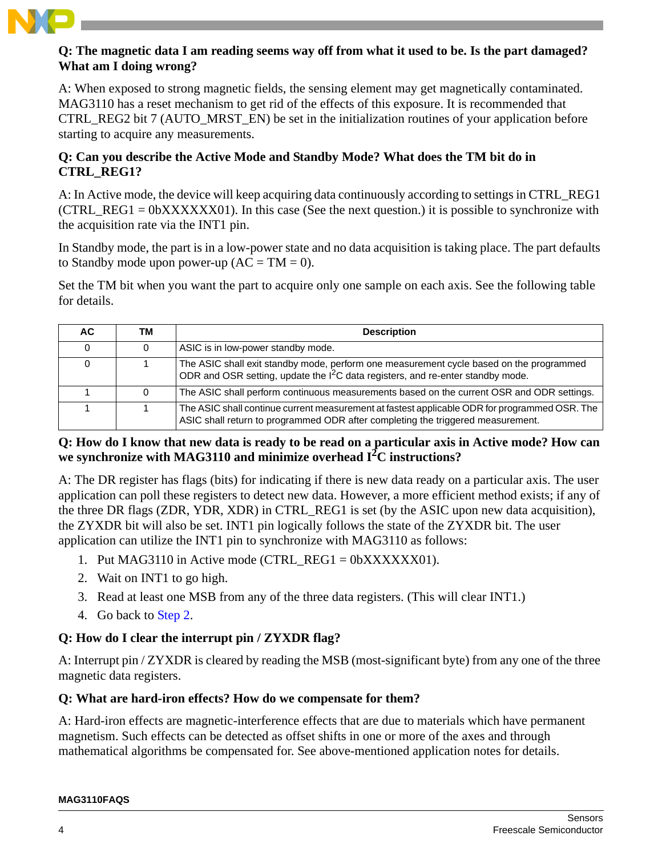

#### **Q: The magnetic data I am reading seems way off from what it used to be. Is the part damaged? What am I doing wrong?**

A: When exposed to strong magnetic fields, the sensing element may get magnetically contaminated. MAG3110 has a reset mechanism to get rid of the effects of this exposure. It is recommended that CTRL\_REG2 bit 7 (AUTO\_MRST\_EN) be set in the initialization routines of your application before starting to acquire any measurements.

### **Q: Can you describe the Active Mode and Standby Mode? What does the TM bit do in CTRL\_REG1?**

A: In Active mode, the device will keep acquiring data continuously according to settings in CTRL\_REG1 (CTRL REG1 =  $0bXXXXXX01$ ). In this case (See the next question.) it is possible to synchronize with the acquisition rate via the INT1 pin.

In Standby mode, the part is in a low-power state and no data acquisition is taking place. The part defaults to Standby mode upon power-up  $(AC = TM = 0)$ .

Set the TM bit when you want the part to acquire only one sample on each axis. See the following table for details.

| AC. | ΤM | <b>Description</b>                                                                                                                                                               |
|-----|----|----------------------------------------------------------------------------------------------------------------------------------------------------------------------------------|
|     |    | ASIC is in low-power standby mode.                                                                                                                                               |
|     |    | The ASIC shall exit standby mode, perform one measurement cycle based on the programmed<br>ODR and OSR setting, update the $I^2C$ data registers, and re-enter standby mode.     |
|     |    | The ASIC shall perform continuous measurements based on the current OSR and ODR settings.                                                                                        |
|     |    | The ASIC shall continue current measurement at fastest applicable ODR for programmed OSR. The<br>ASIC shall return to programmed ODR after completing the triggered measurement. |

### **Q: How do I know that new data is ready to be read on a particular axis in Active mode? How can we synchronize with MAG3110 and minimize overhead I2 C instructions?**

A: The DR register has flags (bits) for indicating if there is new data ready on a particular axis. The user application can poll these registers to detect new data. However, a more efficient method exists; if any of the three DR flags (ZDR, YDR, XDR) in CTRL\_REG1 is set (by the ASIC upon new data acquisition), the ZYXDR bit will also be set. INT1 pin logically follows the state of the ZYXDR bit. The user application can utilize the INT1 pin to synchronize with MAG3110 as follows:

- 1. Put MAG3110 in Active mode (CTRL\_REG1 =  $0$ bXXXXXX01).
- <span id="page-3-0"></span>2. Wait on INT1 to go high.
- 3. Read at least one MSB from any of the three data registers. (This will clear INT1.)
- 4. Go back to [Step 2.](#page-3-0)

# **Q: How do I clear the interrupt pin / ZYXDR flag?**

A: Interrupt pin / ZYXDR is cleared by reading the MSB (most-significant byte) from any one of the three magnetic data registers.

# **Q: What are hard-iron effects? How do we compensate for them?**

A: Hard-iron effects are magnetic-interference effects that are due to materials which have permanent magnetism. Such effects can be detected as offset shifts in one or more of the axes and through mathematical algorithms be compensated for. See above-mentioned application notes for details.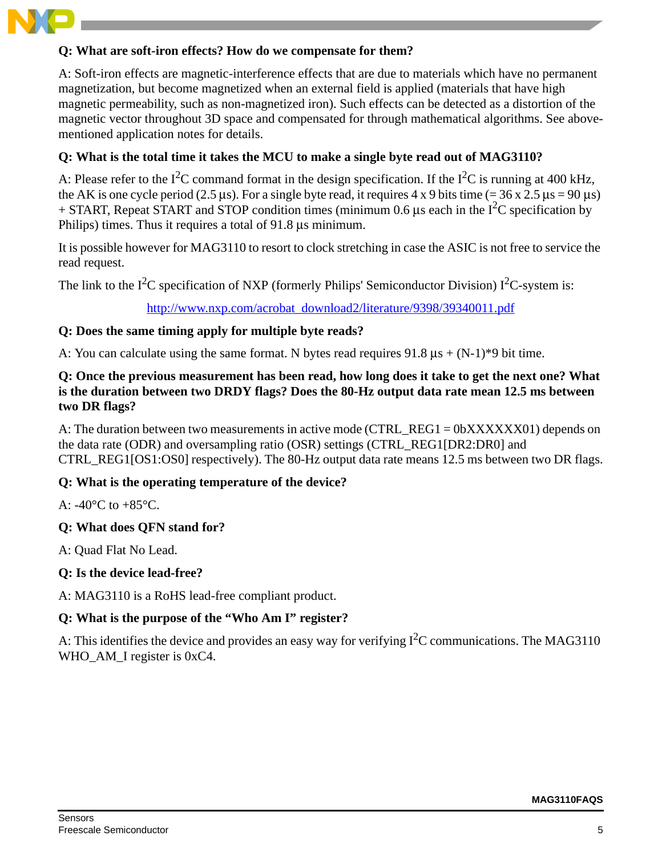

#### **Q: What are soft-iron effects? How do we compensate for them?**

A: Soft-iron effects are magnetic-interference effects that are due to materials which have no permanent magnetization, but become magnetized when an external field is applied (materials that have high magnetic permeability, such as non-magnetized iron). Such effects can be detected as a distortion of the magnetic vector throughout 3D space and compensated for through mathematical algorithms. See abovementioned application notes for details.

#### **Q: What is the total time it takes the MCU to make a single byte read out of MAG3110?**

A: Please refer to the  $I^2C$  command format in the design specification. If the  $I^2C$  is running at 400 kHz, the AK is one cycle period (2.5 μs). For a single byte read, it requires 4 x 9 bits time (=  $36 \times 2.5 \,\mu s = 90 \,\mu s$ )  $+$  START, Repeat START and STOP condition times (minimum 0.6 µs each in the I<sup>2</sup>C specification by Philips) times. Thus it requires a total of 91.8 μs minimum.

It is possible however for MAG3110 to resort to clock stretching in case the ASIC is not free to service the read request.

The link to the  $I^2C$  specification of NXP (formerly Philips' Semiconductor Division)  $I^2C$ -system is:

[http://www.nxp.com/acrobat\\_download2/literature/9398/39340011.pdf](http://www.nxp.com/acrobat_download2/literature/9398/39340011.pdf)

#### **Q: Does the same timing apply for multiple byte reads?**

A: You can calculate using the same format. N bytes read requires  $91.8 \text{ }\mu\text{s} + (N-1)^*9 \text{ }\mu\text{ }$  time.

#### **Q: Once the previous measurement has been read, how long does it take to get the next one? What is the duration between two DRDY flags? Does the 80-Hz output data rate mean 12.5 ms between two DR flags?**

A: The duration between two measurements in active mode (CTRL\_REG1 = 0bXXXXXX01) depends on the data rate (ODR) and oversampling ratio (OSR) settings (CTRL\_REG1[DR2:DR0] and CTRL\_REG1[OS1:OS0] respectively). The 80-Hz output data rate means 12.5 ms between two DR flags.

#### **Q: What is the operating temperature of the device?**

A:  $-40^{\circ}$ C to  $+85^{\circ}$ C.

#### **Q: What does QFN stand for?**

A: Quad Flat No Lead.

#### **Q: Is the device lead-free?**

A: MAG3110 is a RoHS lead-free compliant product.

#### **Q: What is the purpose of the "Who Am I" register?**

A: This identifies the device and provides an easy way for verifying  $I^2C$  communications. The MAG3110 WHO AM I register is 0xC4.